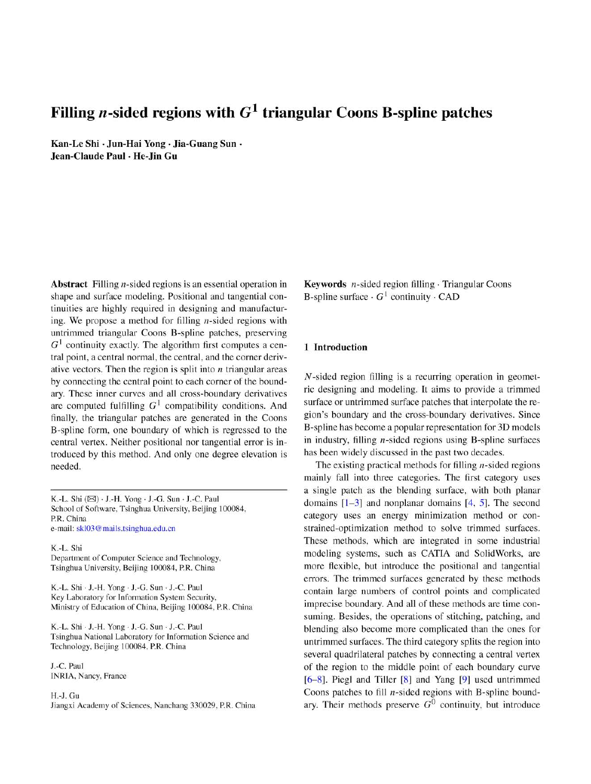# Filling *n*-sided regions with  $G^1$  triangular Coons B-spline patches

Kan-Le Shi · Jun-Hai Yong · Jia-Guang Sun · Jean-Claude Paul · He-Jin Gu

**Abstract** Filling *n*-sided regions is an essential operation in shape and surface modeling. Positional and tangential continuities are highly required in designing and manufacturing. We propose a method for filling  $n$ -sided regions with untrimmed triangular Coons B-spline patches, preserving  $G<sup>1</sup>$  continuity exactly. The algorithm first computes a central point, a central normal, the central, and the corner derivative vectors. Then the region is split into  $n$  triangular areas by connecting the central point to each corner of the boundary. These inner curves and all cross-boundary derivatives are computed fulfilling  $G^1$  compatibility conditions. And finally, the triangular patches are generated in the Coons B-spline form, one boundary of which is regressed to the central vertex. Neither positional nor tangential error is introduced by this method. And only one degree elevation is needed.

K.-L. Shi (⊠) - J.-H. Yong - J.-G. Sun - J.-C. Paul School of Software, Tsinghua University, Beijing 100084, P.R. China e-mail: skl03@mails.tsinghua.edu.cn

K.-L. Shi Department of Computer Science and Technology, Tsinghua University, Beijing 100084, P.R. China

K.-L. Shi · J.-H. Yong · J.-G. Sun · J.-C. Paul Key Laboratory for Information System Security, Ministry of Education of China, Beijing 100084, P.R. China

K.-L. Shi - J.-H. Yong - J.-G. Sun - J.-C. Paul Tsinghua National Laboratory for Information Science and Technology, Beijing 100084, P.R. China

J.-C. Paul INRIA, Nancy, France

H.-J. Gu Jiangxi Academy of Sciences, Nanchang 330029, P.R. China **Keywords**  $n$ -sided region filling  $\cdot$  Triangular Coons B-spline surface  $\cdot$  G<sup>1</sup> continuity  $\cdot$  CAD

# 1 Introduction

*N*-sided region filling is a recurring operation in geometric designing and modeling. It aims to provide a trimmed surface or untrimmed surface patches that interpolate the region's boundary and the cross-boundary derivatives. Since B-spline has become a popular representation for 3D models in industry, filling  $n$ -sided regions using B-spline surfaces has been widely discussed in the past two decades.

The existing practical methods for filling  $n$ -sided regions mainly fall into three categories. The first category uses a single patch as the blending surface, with both planar domains  $[1-3]$  and nonplanar domains  $[4, 5]$ . The second category uses an energy minimization method or constrained-optimization method to solve trimmed surfaces. These methods, which are integrated in some industrial modeling systems, such as CATIA and SolidWorks, are more flexible, but introduce the positional and tangential errors. The trimmed surfaces generated by these methods contain large numbers of control points and complicated imprecise boundary. And all of these methods are time consuming. Besides, the operations of stitching, patching, and blending also become more complicated than the ones for untrimmed surfaces. The third category splits the region into several quadrilateral patches by connecting a central vertex of the region to the middle point of each boundary curve  $[6-8]$ . Piegl and Tiller  $[8]$  and Yang  $[9]$  used untrimmed Coons patches to fill  $n$ -sided regions with B-spline boundary. Their methods preserve  $G^0$  continuity, but introduce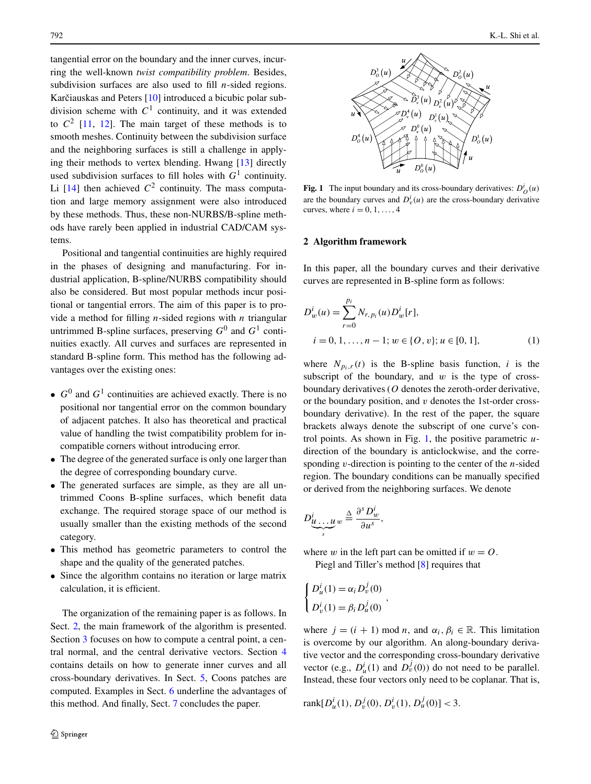tangential error on the boundary and the inner curves, incurring the well-known *twist compatibility problem*. Besides, subdivision surfaces are also used to fill *n*-sided regions. Karčiauskas and Peters [[10](#page-8-0)] introduced a bicubic polar subdivision scheme with  $C<sup>1</sup>$  continuity, and it was extended to  $C<sup>2</sup>$  [\[11](#page-8-0), [12](#page-8-0)]. The main target of these methods is to smooth meshes. Continuity between the subdivision surface and the neighboring surfaces is still a challenge in applying their methods to vertex blending. Hwang [[13\]](#page-8-0) directly used subdivision surfaces to fill holes with *G*<sup>1</sup> continuity. Li  $[14]$  $[14]$  then achieved  $C^2$  continuity. The mass computation and large memory assignment were also introduced by these methods. Thus, these non-NURBS/B-spline methods have rarely been applied in industrial CAD/CAM systems.

Positional and tangential continuities are highly required in the phases of designing and manufacturing. For industrial application, B-spline/NURBS compatibility should also be considered. But most popular methods incur positional or tangential errors. The aim of this paper is to provide a method for filling *n*-sided regions with *n* triangular untrimmed B-spline surfaces, preserving  $G^0$  and  $G^1$  continuities exactly. All curves and surfaces are represented in standard B-spline form. This method has the following advantages over the existing ones:

- $G^0$  and  $G^1$  continuities are achieved exactly. There is no positional nor tangential error on the common boundary of adjacent patches. It also has theoretical and practical value of handling the twist compatibility problem for incompatible corners without introducing error.
- The degree of the generated surface is only one larger than the degree of corresponding boundary curve.
- The generated surfaces are simple, as they are all untrimmed Coons B-spline surfaces, which benefit data exchange. The required storage space of our method is usually smaller than the existing methods of the second category.
- This method has geometric parameters to control the shape and the quality of the generated patches.
- Since the algorithm contains no iteration or large matrix calculation, it is efficient.

The organization of the remaining paper is as follows. In Sect. 2, the main framework of the algorithm is presented. Section [3](#page-2-0) focuses on how to compute a central point, a central normal, and the central derivative vectors. Section [4](#page-3-0) contains details on how to generate inner curves and all cross-boundary derivatives. In Sect. [5,](#page-5-0) Coons patches are computed. Examples in Sect. [6](#page-5-0) underline the advantages of this method. And finally, Sect. [7](#page-8-0) concludes the paper.



**Fig. 1** The input boundary and its cross-boundary derivatives:  $D_Q^i(u)$ are the boundary curves and  $D_v^i(u)$  are the cross-boundary derivative curves, where  $i = 0, 1, \ldots, 4$ 

### **2 Algorithm framework**

In this paper, all the boundary curves and their derivative curves are represented in B-spline form as follows:

$$
D_w^i(u) = \sum_{r=0}^{p_i} N_{r, p_i}(u) D_w^i[r],
$$
  
\n $i = 0, 1, ..., n - 1; w \in \{O, v\}; u \in [0, 1],$  (1)

where  $N_{p_i,r}(t)$  is the B-spline basis function, *i* is the subscript of the boundary, and  $w$  is the type of crossboundary derivatives (*O* denotes the zeroth-order derivative, or the boundary position, and *v* denotes the 1st-order crossboundary derivative). In the rest of the paper, the square brackets always denote the subscript of one curve's control points. As shown in Fig. 1, the positive parametric *u*direction of the boundary is anticlockwise, and the corresponding *v*-direction is pointing to the center of the *n*-sided region. The boundary conditions can be manually specified or derived from the neighboring surfaces. We denote

$$
D_{\underbrace{u\ldots u}_{s}}^{i}w \stackrel{\Delta}{=} \frac{\partial^{s} D_{w}^{i}}{\partial u^{s}},
$$

where *w* in the left part can be omitted if  $w = 0$ .

Piegl and Tiller's method [\[8](#page-8-0)] requires that

*,*

$$
\begin{cases}\nD_u^i(1) = \alpha_i D_v^j(0) \\
D_v^i(1) = \beta_i D_u^j(0)\n\end{cases}
$$

where  $j = (i + 1) \text{ mod } n$ , and  $\alpha_i, \beta_i \in \mathbb{R}$ . This limitation is overcome by our algorithm. An along-boundary derivative vector and the corresponding cross-boundary derivative vector (e.g.,  $D_u^i(1)$  and  $D_v^j(0)$ ) do not need to be parallel. Instead, these four vectors only need to be coplanar. That is,

rank
$$
[D_u^i(1), D_v^j(0), D_v^i(1), D_u^j(0)] < 3.
$$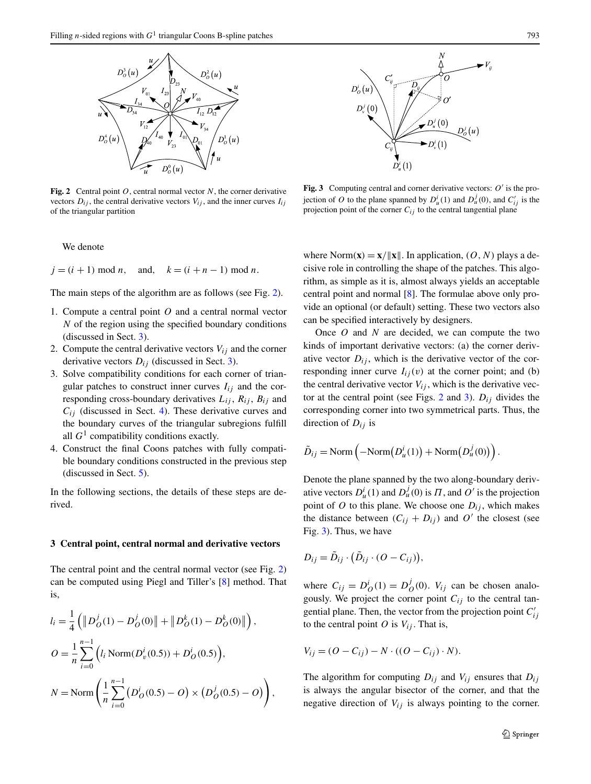<span id="page-2-0"></span>

**Fig. 2** Central point *O*, central normal vector *N*, the corner derivative vectors  $D_{ij}$ , the central derivative vectors  $V_{ij}$ , and the inner curves  $I_{ij}$ of the triangular partition

We denote

 $j = (i + 1) \text{ mod } n$ , and,  $k = (i + n - 1) \text{ mod } n$ .

The main steps of the algorithm are as follows (see Fig. 2).

- 1. Compute a central point *O* and a central normal vector *N* of the region using the specified boundary conditions (discussed in Sect. 3).
- 2. Compute the central derivative vectors  $V_{ij}$  and the corner derivative vectors  $D_{ij}$  (discussed in Sect. 3).
- 3. Solve compatibility conditions for each corner of triangular patches to construct inner curves  $I_{ij}$  and the corresponding cross-boundary derivatives  $L_{ij}$ ,  $R_{ij}$ ,  $B_{ij}$  and  $C_{ij}$  (discussed in Sect. [4](#page-3-0)). These derivative curves and the boundary curves of the triangular subregions fulfill all  $G<sup>1</sup>$  compatibility conditions exactly.
- 4. Construct the final Coons patches with fully compatible boundary conditions constructed in the previous step (discussed in Sect. [5\)](#page-5-0).

In the following sections, the details of these steps are derived.

#### **3 Central point, central normal and derivative vectors**

The central point and the central normal vector (see Fig. 2) can be computed using Piegl and Tiller's [[8\]](#page-8-0) method. That is,

$$
l_i = \frac{1}{4} \left( \|D_O^j(1) - D_O^j(0)\| + \|D_O^k(1) - D_O^k(0)\| \right),
$$
  
\n
$$
O = \frac{1}{n} \sum_{i=0}^{n-1} \left( l_i \operatorname{Norm}(D_V^i(0.5)) + D_O^i(0.5) \right),
$$
  
\n
$$
N = \operatorname{Norm} \left( \frac{1}{n} \sum_{i=0}^{n-1} \left( D_O^i(0.5) - O \right) \times \left( D_O^j(0.5) - O \right) \right),
$$



**Fig. 3** Computing central and corner derivative vectors:  $O'$  is the projection of *O* to the plane spanned by  $D^i_u(1)$  and  $D^j_u(0)$ , and  $C'_{ij}$  is the projection point of the corner  $C_{ij}$  to the central tangential plane

where Norm $(\mathbf{x}) = \mathbf{x}/\|\mathbf{x}\|$ . In application,  $(O, N)$  plays a decisive role in controlling the shape of the patches. This algorithm, as simple as it is, almost always yields an acceptable central point and normal [\[8](#page-8-0)]. The formulae above only provide an optional (or default) setting. These two vectors also can be specified interactively by designers.

Once *O* and *N* are decided, we can compute the two kinds of important derivative vectors: (a) the corner derivative vector  $D_{ij}$ , which is the derivative vector of the corresponding inner curve  $I_{ij}(v)$  at the corner point; and (b) the central derivative vector  $V_{ij}$ , which is the derivative vector at the central point (see Figs. 2 and 3).  $D_{ij}$  divides the corresponding corner into two symmetrical parts. Thus, the direction of *Dij* is

$$
\tilde{D}_{ij} = \text{Norm}\left(-\text{Norm}(D_u^i(1)) + \text{Norm}(D_u^j(0))\right).
$$

Denote the plane spanned by the two along-boundary derivative vectors  $D^i_u(1)$  and  $D^j_u(0)$  is  $\Pi$ , and  $O'$  is the projection point of  $O$  to this plane. We choose one  $D_{ij}$ , which makes the distance between  $(C_{ij} + D_{ij})$  and  $O'$  the closest (see Fig. 3). Thus, we have

$$
D_{ij} = \tilde{D}_{ij} \cdot (\tilde{D}_{ij} \cdot (O - C_{ij})),
$$

where  $C_{ij} = D^i_O(1) = D^j_O(0)$ .  $V_{ij}$  can be chosen analogously. We project the corner point  $C_{ij}$  to the central tangential plane. Then, the vector from the projection point  $C'_{ij}$ to the central point  $O$  is  $V_{ij}$ . That is,

$$
V_{ij} = (O - C_{ij}) - N \cdot ((O - C_{ij}) \cdot N).
$$

The algorithm for computing *Dij* and *Vij* ensures that *Dij* is always the angular bisector of the corner, and that the negative direction of  $V_{ij}$  is always pointing to the corner.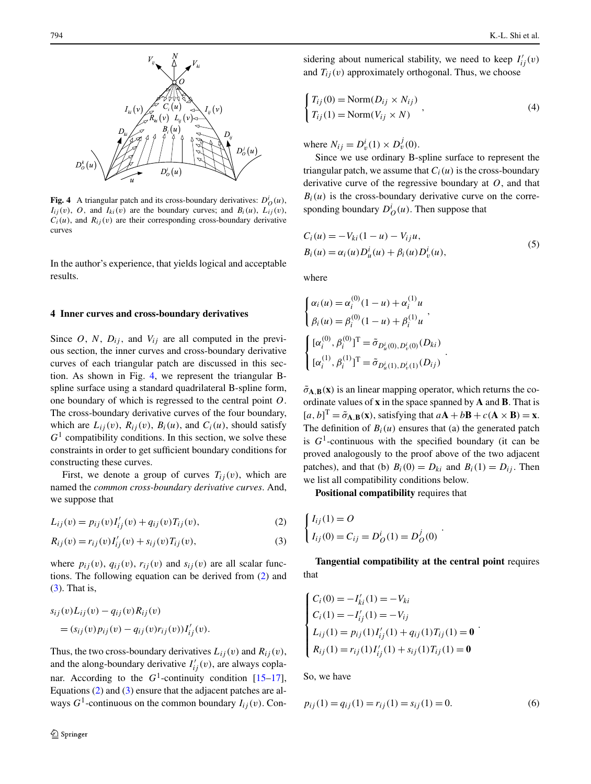<span id="page-3-0"></span>

**Fig. 4** A triangular patch and its cross-boundary derivatives:  $D^i_O(u)$ ,  $I_{ij}(v)$ , *O*, and  $I_{ki}(v)$  are the boundary curves; and  $B_i(u)$ ,  $L_{ij}(v)$ ,  $C_i(u)$ , and  $R_{ij}(v)$  are their corresponding cross-boundary derivative curves

In the author's experience, that yields logical and acceptable results.

#### **4 Inner curves and cross-boundary derivatives**

Since *O*, *N*,  $D_{ij}$ , and  $V_{ij}$  are all computed in the previous section, the inner curves and cross-boundary derivative curves of each triangular patch are discussed in this section. As shown in Fig. 4, we represent the triangular Bspline surface using a standard quadrilateral B-spline form, one boundary of which is regressed to the central point *O*. The cross-boundary derivative curves of the four boundary, which are  $L_{ij}(v)$ ,  $R_{ij}(v)$ ,  $B_i(u)$ , and  $C_i(u)$ , should satisfy  $G<sup>1</sup>$  compatibility conditions. In this section, we solve these constraints in order to get sufficient boundary conditions for constructing these curves.

First, we denote a group of curves  $T_{ij}(v)$ , which are named the *common cross-boundary derivative curves*. And, we suppose that

$$
L_{ij}(v) = p_{ij}(v)I'_{ij}(v) + q_{ij}(v)T_{ij}(v),
$$
\n(2)

$$
R_{ij}(v) = r_{ij}(v)I'_{ij}(v) + s_{ij}(v)T_{ij}(v),
$$
\n(3)

where  $p_{ij}(v)$ ,  $q_{ij}(v)$ ,  $r_{ij}(v)$  and  $s_{ij}(v)$  are all scalar functions. The following equation can be derived from (2) and (3). That is,

$$
s_{ij}(v)L_{ij}(v) - q_{ij}(v)R_{ij}(v)
$$
  
= 
$$
(s_{ij}(v)p_{ij}(v) - q_{ij}(v)r_{ij}(v))I'_{ij}(v).
$$

Thus, the two cross-boundary derivatives  $L_{ij}(v)$  and  $R_{ij}(v)$ , and the along-boundary derivative  $I'_{ij}(v)$ , are always coplanar. According to the  $G^1$ -continuity condition  $[15-17]$ , Equations (2) and (3) ensure that the adjacent patches are always  $G^1$ -continuous on the common boundary  $I_{ij}(v)$ . Con-

sidering about numerical stability, we need to keep  $I'_{ij}(v)$ and  $T_{ii}(v)$  approximately orthogonal. Thus, we choose

$$
\begin{cases}\nT_{ij}(0) = \text{Norm}(D_{ij} \times N_{ij}) \\
T_{ij}(1) = \text{Norm}(V_{ij} \times N)\n\end{cases}
$$
\n(4)

where  $N_{ij} = D_v^i(1) \times D_v^j(0)$ .

Since we use ordinary B-spline surface to represent the triangular patch, we assume that  $C_i(u)$  is the cross-boundary derivative curve of the regressive boundary at *O*, and that  $B_i(u)$  is the cross-boundary derivative curve on the corresponding boundary  $D^i_O(u)$ . Then suppose that

$$
C_i(u) = -V_{ki}(1-u) - V_{ij}u,B_i(u) = \alpha_i(u)D_u^i(u) + \beta_i(u)D_v^i(u),
$$
\n(5)

where

$$
\begin{cases}\n\alpha_i(u) = \alpha_i^{(0)}(1-u) + \alpha_i^{(1)}u \\
\beta_i(u) = \beta_i^{(0)}(1-u) + \beta_i^{(1)}u\n\end{cases},
$$
\n
$$
\begin{cases}\n[\alpha_i^{(0)}, \beta_i^{(0)}]^{\mathrm{T}} = \tilde{\sigma}_{D_u^i(0), D_v^i(0)}(D_{ki}) \\
[\alpha_i^{(1)}, \beta_i^{(1)}]^{\mathrm{T}} = \tilde{\sigma}_{D_u^i(1), D_v^i(1)}(D_{ij})\n\end{cases}.
$$

 $\tilde{\sigma}_{A,B}(x)$  is an linear mapping operator, which returns the coordinate values of **x** in the space spanned by **A** and **B**. That is  $[a, b]$ <sup>T</sup> =  $\tilde{\sigma}_{A, B}(x)$ , satisfying that  $aA + bB + c(A \times B) = x$ . The definition of  $B_i(u)$  ensures that (a) the generated patch is  $G<sup>1</sup>$ -continuous with the specified boundary (it can be proved analogously to the proof above of the two adjacent patches), and that (b)  $B_i(0) = D_{ki}$  and  $B_i(1) = D_{ij}$ . Then we list all compatibility conditions below.

**Positional compatibility** requires that

$$
\begin{cases}\nI_{ij}(1) = O \\
I_{ij}(0) = C_{ij} = D_O^i(1) = D_O^j(0)\n\end{cases}.
$$

**Tangential compatibility at the central point** requires that

$$
\begin{cases}\nC_i(0) = -I'_{ki}(1) = -V_{ki} \\
C_i(1) = -I'_{ij}(1) = -V_{ij} \\
L_{ij}(1) = p_{ij}(1)I'_{ij}(1) + q_{ij}(1)T_{ij}(1) = 0 \\
R_{ij}(1) = r_{ij}(1)I'_{ij}(1) + s_{ij}(1)T_{ij}(1) = 0\n\end{cases}
$$

So, we have

$$
p_{ij}(1) = q_{ij}(1) = r_{ij}(1) = s_{ij}(1) = 0.
$$
\n(6)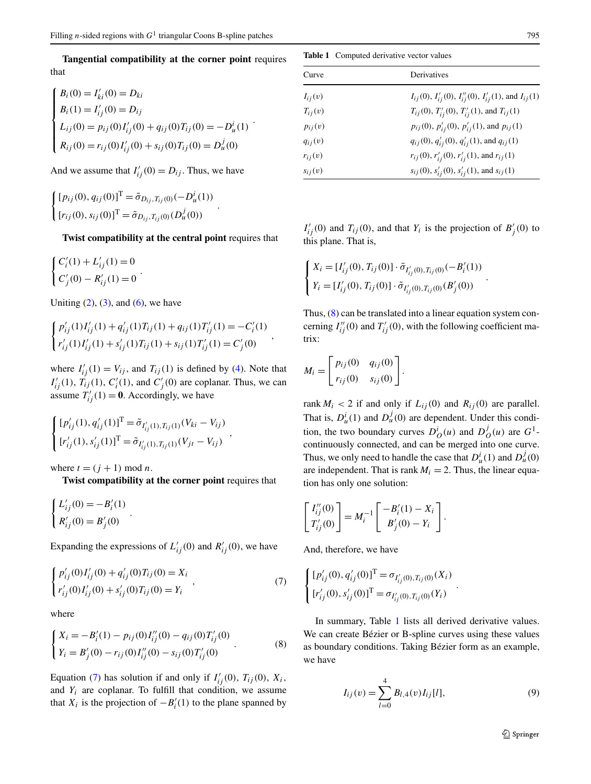**Tangential compatibility at the corner point** requires that

$$
\begin{cases}\nB_i(0) = I'_{ki}(0) = D_{ki} \\
B_i(1) = I'_{ij}(0) = D_{ij} \\
L_{ij}(0) = p_{ij}(0)I'_{ij}(0) + q_{ij}(0)T_{ij}(0) = -D^i_u(1) \\
R_{ij}(0) = r_{ij}(0)I'_{ij}(0) + s_{ij}(0)T_{ij}(0) = D^j_u(0)\n\end{cases}.
$$

And we assume that  $I'_{ij}(0) = D_{ij}$ . Thus, we have

$$
\begin{cases} [p_{ij}(0), q_{ij}(0)]^{\mathrm{T}} = \tilde{\sigma}_{D_{ij}, T_{ij}(0)}(-D^i_u(1)) \\ [r_{ij}(0), s_{ij}(0)]^{\mathrm{T}} = \tilde{\sigma}_{D_{ij}, T_{ij}(0)}(D^j_u(0)) \end{cases}.
$$

**Twist compatibility at the central point** requires that

$$
\begin{cases} C_i'(1) + L_{ij}'(1) = 0 \\ C_j'(0) - R_{ij}'(1) = 0 \end{cases}.
$$

Uniting  $(2)$  $(2)$ ,  $(3)$  $(3)$ , and  $(6)$  $(6)$ , we have

$$
\begin{cases} p'_{ij}(1)I'_{ij}(1) + q'_{ij}(1)T_{ij}(1) + q_{ij}(1)T'_{ij}(1) = -C'_{i}(1) \\ r'_{ij}(1)I'_{ij}(1) + s'_{ij}(1)T_{ij}(1) + s_{ij}(1)T'_{ij}(1) = C'_{j}(0) \end{cases}
$$

where  $I'_{ij}(1) = V_{ij}$ , and  $T_{ij}(1)$  is defined by [\(4](#page-3-0)). Note that  $I'_{ij}(1)$ ,  $\overline{T}_{ij}(1)$ ,  $C'_{i}(1)$ , and  $C'_{j}(0)$  are coplanar. Thus, we can assume  $T'_{ij}(1) = 0$ . Accordingly, we have

$$
\begin{cases}\n[p'_{ij}(1), q'_{ij}(1)]^{\mathrm{T}} = \tilde{\sigma}_{I'_{ij}(1), T_{ij}(1)}(V_{ki} - V_{ij}) \\
[r'_{ij}(1), s'_{ij}(1)]^{\mathrm{T}} = \tilde{\sigma}_{I'_{ij}(1), T_{ij}(1)}(V_{jt} - V_{ij})\n\end{cases}
$$

where  $t = (j + 1) \text{ mod } n$ .

**Twist compatibility at the corner point** requires that

$$
\begin{cases} L'_{ij}(0) = -B'_i(1) \\ R'_{ij}(0) = B'_j(0) \end{cases}.
$$

Expanding the expressions of  $L'_{ij}(0)$  and  $R'_{ij}(0)$ , we have

$$
\begin{cases} p'_{ij}(0)I'_{ij}(0) + q'_{ij}(0)T_{ij}(0) = X_i \\ r'_{ij}(0)I'_{ij}(0) + s'_{ij}(0)T_{ij}(0) = Y_i \end{cases}
$$
\n(7)

where

$$
\begin{cases}\nX_i = -B'_i(1) - p_{ij}(0)I''_{ij}(0) - q_{ij}(0)T'_{ij}(0) \\
Y_i = B'_j(0) - r_{ij}(0)I''_{ij}(0) - s_{ij}(0)T'_{ij}(0)\n\end{cases} \tag{8}
$$

Equation (7) has solution if and only if  $I'_{ij}(0)$ ,  $T_{ij}(0)$ ,  $X_i$ , and  $Y_i$  are coplanar. To fulfill that condition, we assume that  $X_i$  is the projection of  $-B'_i(1)$  to the plane spanned by

**Table 1** Computed derivative vector values

| Curve       | Derivatives                                                                 |
|-------------|-----------------------------------------------------------------------------|
| $I_{ij}(v)$ | $I_{ij}(0)$ , $I'_{ij}(0)$ , $I''_{ij}(0)$ , $I'_{ij}(1)$ , and $I_{ij}(1)$ |
| $T_{ii}(v)$ | $T_{ij}(0)$ , $T'_{ij}(0)$ , $T'_{ij}(1)$ , and $T_{ij}(1)$                 |
| $p_{ij}(v)$ | $p_{ij}(0)$ , $p'_{ij}(0)$ , $p'_{ij}(1)$ , and $p_{ij}(1)$                 |
| $q_{ij}(v)$ | $q_{ij}(0), q'_{ij}(0), q'_{ij}(1)$ , and $q_{ij}(1)$                       |
| $r_{ij}(v)$ | $r_{ij}(0)$ , $r'_{ij}(0)$ , $r'_{ij}(1)$ , and $r_{ij}(1)$                 |
| $s_{ij}(v)$ | $s_{ij}(0)$ , $s'_{ij}(0)$ , $s'_{ij}(1)$ , and $s_{ij}(1)$                 |

 $I'_{ij}(0)$  and  $T_{ij}(0)$ , and that  $Y_i$  is the projection of  $B'_{j}(0)$  to this plane. That is,

$$
\begin{cases} X_i = [I'_{ij}(0), T_{ij}(0)] \cdot \tilde{\sigma}_{I'_{ij}(0), T_{ij}(0)}(-B'_i(1)) \\ Y_i = [I'_{ij}(0), T_{ij}(0)] \cdot \tilde{\sigma}_{I'_{ij}(0), T_{ij}(0)}(B'_j(0)) \end{cases}.
$$

Thus, (8) can be translated into a linear equation system concerning  $I''_{ij}(0)$  and  $T'_{ij}(0)$ , with the following coefficient matrix:

$$
M_i = \begin{bmatrix} p_{ij}(0) & q_{ij}(0) \\ r_{ij}(0) & s_{ij}(0) \end{bmatrix}.
$$

rank  $M_i$  < 2 if and only if  $L_{ij}(0)$  and  $R_{ij}(0)$  are parallel. That is,  $D^i_u(1)$  and  $D^j_u(0)$  are dependent. Under this condition, the two boundary curves  $D_0^i(u)$  and  $D_0^j(u)$  are  $G^1$ continuously connected, and can be merged into one curve. Thus, we only need to handle the case that  $D_u^i(1)$  and  $D_u^j(0)$ are independent. That is rank  $M_i = 2$ . Thus, the linear equation has only one solution:

$$
\begin{bmatrix} I''_{ij}(0) \\ T'_{ij}(0) \end{bmatrix} = M_i^{-1} \begin{bmatrix} -B'_i(1) - X_i \\ B'_j(0) - Y_i \end{bmatrix}.
$$

And, therefore, we have

$$
\begin{cases}\n[p'_{ij}(0), q'_{ij}(0)]^{\mathrm{T}} = \sigma_{I'_{ij}(0), T_{ij}(0)}(X_i) \\
[r'_{ij}(0), s'_{ij}(0)]^{\mathrm{T}} = \sigma_{I'_{ij}(0), T_{ij}(0)}(Y_i)\n\end{cases}.
$$

In summary, Table 1 lists all derived derivative values. We can create Bézier or B-spline curves using these values as boundary conditions. Taking Bézier form as an example, we have

$$
I_{ij}(v) = \sum_{l=0}^{4} B_{l,4}(v) I_{ij}[l],
$$
\n(9)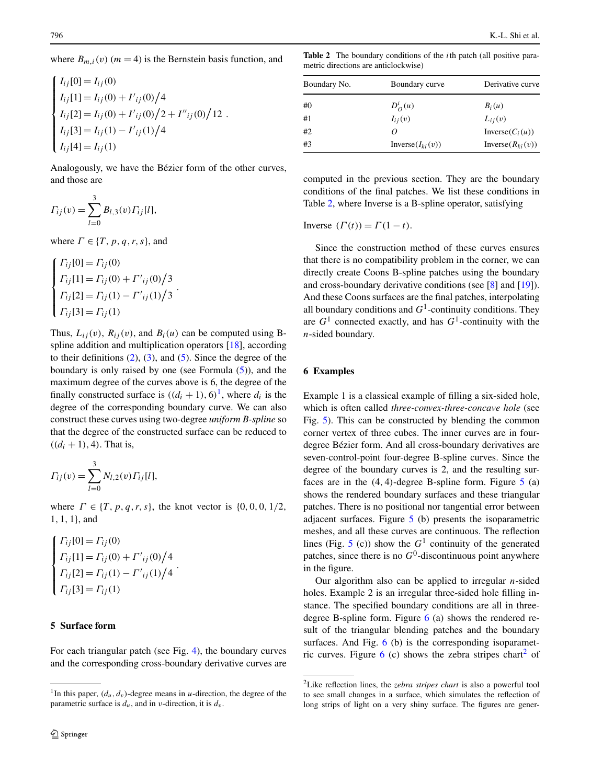<span id="page-5-0"></span>where  $B_{m,i}(v)$  ( $m = 4$ ) is the Bernstein basis function, and

$$
\begin{cases}\nI_{ij}[0] = I_{ij}(0) \\
I_{ij}[1] = I_{ij}(0) + I'_{ij}(0)/4 \\
I_{ij}[2] = I_{ij}(0) + I'_{ij}(0)/2 + I''_{ij}(0)/12 \\
I_{ij}[3] = I_{ij}(1) - I'_{ij}(1)/4 \\
I_{ij}[4] = I_{ij}(1)\n\end{cases}
$$

Analogously, we have the Bézier form of the other curves, and those are

$$
\Gamma_{ij}(v) = \sum_{l=0}^{3} B_{l,3}(v) \Gamma_{ij}[l],
$$

where  $\Gamma \in \{T, p, q, r, s\}$ , and

$$
\begin{cases}\n\Gamma_{ij}[0] = \Gamma_{ij}(0) \\
\Gamma_{ij}[1] = \Gamma_{ij}(0) + \Gamma'_{ij}(0)/3 \\
\Gamma_{ij}[2] = \Gamma_{ij}(1) - \Gamma'_{ij}(1)/3 \\
\Gamma_{ij}[3] = \Gamma_{ij}(1)\n\end{cases}.
$$

Thus,  $L_{ij}(v)$ ,  $R_{ij}(v)$ , and  $B_i(u)$  can be computed using Bspline addition and multiplication operators [\[18](#page-8-0)], according to their definitions  $(2)$  $(2)$ ,  $(3)$ , and  $(5)$  $(5)$ . Since the degree of the boundary is only raised by one (see Formula [\(5](#page-3-0))), and the maximum degree of the curves above is 6, the degree of the finally constructed surface is  $((d_i + 1), 6)^1$ , where  $d_i$  is the degree of the corresponding boundary curve. We can also construct these curves using two-degree *uniform B-spline* so that the degree of the constructed surface can be reduced to  $((d_i + 1), 4)$ . That is,

$$
\Gamma_{ij}(v) = \sum_{l=0}^{3} N_{l,2}(v) \Gamma_{ij}[l],
$$

where  $\Gamma \in \{T, p, q, r, s\}$ , the knot vector is  $\{0, 0, 0, 1/2,$ 1*,* 1*,* 1}, and

$$
\begin{cases}\n\Gamma_{ij}[0] = \Gamma_{ij}(0) \\
\Gamma_{ij}[1] = \Gamma_{ij}(0) + \Gamma'_{ij}(0)/4 \\
\Gamma_{ij}[2] = \Gamma_{ij}(1) - \Gamma'_{ij}(1)/4 \\
\Gamma_{ij}[3] = \Gamma_{ij}(1)\n\end{cases}
$$

## **5 Surface form**

For each triangular patch (see Fig. [4](#page-3-0)), the boundary curves and the corresponding cross-boundary derivative curves are

**Table 2** The boundary conditions of the *i*th patch (all positive parametric directions are anticlockwise)

| Boundary No. | Boundary curve         | Derivative curve      |  |
|--------------|------------------------|-----------------------|--|
| #0           | $D_Q^i(u)$             | $B_i(u)$              |  |
| #1           | $I_{ij}(v)$            | $L_{ii}(v)$           |  |
| #2           | 0                      | Inverse $(C_i(u))$    |  |
| #3           | Inverse( $I_{ki}(v)$ ) | Inverse $(R_{ki}(v))$ |  |

computed in the previous section. They are the boundary conditions of the final patches. We list these conditions in Table 2, where Inverse is a B-spline operator, satisfying

Inverse  $(\Gamma(t)) = \Gamma(1 - t)$ .

Since the construction method of these curves ensures that there is no compatibility problem in the corner, we can directly create Coons B-spline patches using the boundary and cross-boundary derivative conditions (see [[8\]](#page-8-0) and [[19\]](#page-8-0)). And these Coons surfaces are the final patches, interpolating all boundary conditions and  $G<sup>1</sup>$ -continuity conditions. They are  $G<sup>1</sup>$  connected exactly, and has  $G<sup>1</sup>$ -continuity with the *n*-sided boundary.

## **6 Examples**

Example 1 is a classical example of filling a six-sided hole, which is often called *three-convex-three-concave hole* (see Fig. [5](#page-6-0)). This can be constructed by blending the common corner vertex of three cubes. The inner curves are in fourdegree Bézier form. And all cross-boundary derivatives are seven-control-point four-degree B-spline curves. Since the degree of the boundary curves is 2, and the resulting surfaces are in the *(*4*,* 4*)*-degree B-spline form. Figure [5](#page-6-0) (a) shows the rendered boundary surfaces and these triangular patches. There is no positional nor tangential error between adjacent surfaces. Figure [5](#page-6-0) (b) presents the isoparametric meshes, and all these curves are continuous. The reflection lines (Fig. [5](#page-6-0) (c)) show the  $G<sup>1</sup>$  continuity of the generated patches, since there is no  $G^0$ -discontinuous point anywhere in the figure.

Our algorithm also can be applied to irregular *n*-sided holes. Example 2 is an irregular three-sided hole filling instance. The specified boundary conditions are all in threedegree B-spline form. Figure  $6$  (a) shows the rendered result of the triangular blending patches and the boundary surfaces. And Fig. [6](#page-6-0) (b) is the corresponding isoparametric curves. Figure  $6$  (c) shows the zebra stripes chart<sup>2</sup> of

<sup>&</sup>lt;sup>1</sup>In this paper,  $(d_u, d_v)$ -degree means in *u*-direction, the degree of the parametric surface is  $d_u$ , and in *v*-direction, it is  $d_v$ .

<sup>2</sup>Like reflection lines, the *zebra stripes chart* is also a powerful tool to see small changes in a surface, which simulates the reflection of long strips of light on a very shiny surface. The figures are gener-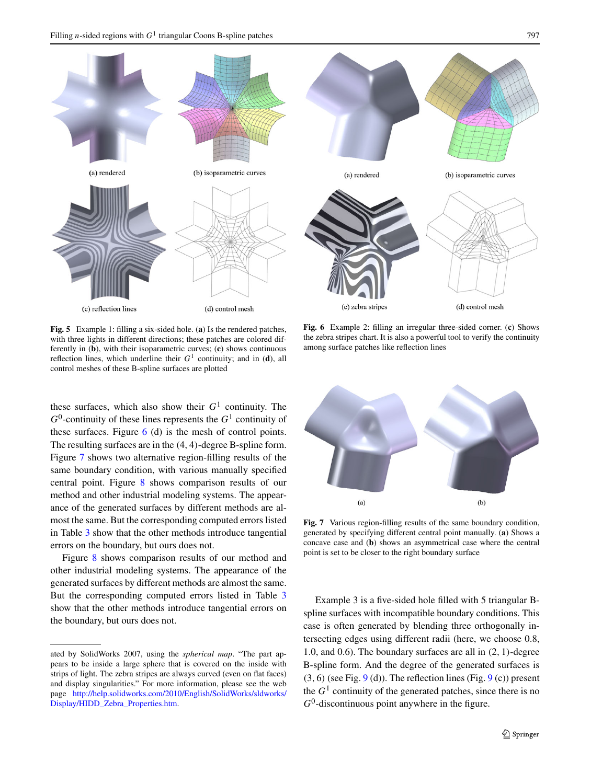<span id="page-6-0"></span>

**Fig. 5** Example 1: filling a six-sided hole. (**a**) Is the rendered patches, with three lights in different directions; these patches are colored differently in (**b**), with their isoparametric curves; (**c**) shows continuous reflection lines, which underline their  $G<sup>1</sup>$  continuity; and in (**d**), all control meshes of these B-spline surfaces are plotted

these surfaces, which also show their  $G<sup>1</sup>$  continuity. The  $G^0$ -continuity of these lines represents the  $G^1$  continuity of these surfaces. Figure  $6$  (d) is the mesh of control points. The resulting surfaces are in the *(*4*,* 4*)*-degree B-spline form. Figure 7 shows two alternative region-filling results of the same boundary condition, with various manually specified central point. Figure [8](#page-7-0) shows comparison results of our method and other industrial modeling systems. The appearance of the generated surfaces by different methods are almost the same. But the corresponding computed errors listed in Table [3](#page-7-0) show that the other methods introduce tangential errors on the boundary, but ours does not.

Figure [8](#page-7-0) shows comparison results of our method and other industrial modeling systems. The appearance of the generated surfaces by different methods are almost the same. But the corresponding computed errors listed in Table [3](#page-7-0) show that the other methods introduce tangential errors on the boundary, but ours does not.

**Fig. 6** Example 2: filling an irregular three-sided corner. (**c**) Shows the zebra stripes chart. It is also a powerful tool to verify the continuity among surface patches like reflection lines



Fig. 7 Various region-filling results of the same boundary condition, generated by specifying different central point manually. (**a**) Shows a concave case and (**b**) shows an asymmetrical case where the central point is set to be closer to the right boundary surface

Example 3 is a five-sided hole filled with 5 triangular Bspline surfaces with incompatible boundary conditions. This case is often generated by blending three orthogonally intersecting edges using different radii (here, we choose 0.8, 1.0, and 0.6). The boundary surfaces are all in *(*2*,* 1*)*-degree B-spline form. And the degree of the generated surfaces is  $(3, 6)$  (see Fig.  $9$  (d)). The reflection lines (Fig.  $9$  (c)) present the  $G<sup>1</sup>$  continuity of the generated patches, since there is no  $G<sup>0</sup>$ -discontinuous point anywhere in the figure.

ated by SolidWorks 2007, using the *spherical map*. "The part appears to be inside a large sphere that is covered on the inside with strips of light. The zebra stripes are always curved (even on flat faces) and display singularities." For more information, please see the web page [http://help.solidworks.com/2010/English/SolidWorks/sldworks/](http://help.solidworks.com/2010/English/SolidWorks/sldworks/Display/HIDD_Zebra_Properties.htm) [Display/HIDD\\_Zebra\\_Properties.htm.](http://help.solidworks.com/2010/English/SolidWorks/sldworks/Display/HIDD_Zebra_Properties.htm)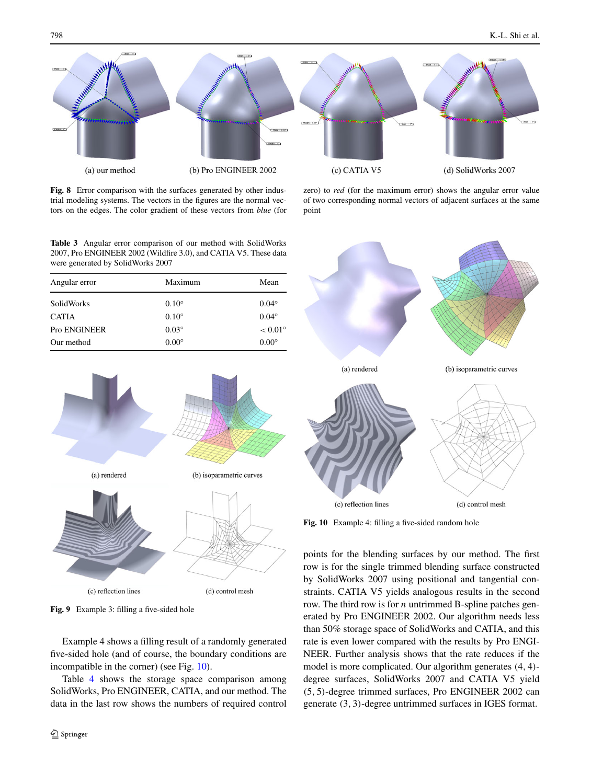<span id="page-7-0"></span>

point

Fig. 8 Error comparison with the surfaces generated by other industrial modeling systems. The vectors in the figures are the normal vectors on the edges. The color gradient of these vectors from *blue* (for

**Table 3** Angular error comparison of our method with SolidWorks 2007, Pro ENGINEER 2002 (Wildfire 3.0), and CATIA V5. These data were generated by SolidWorks 2007

| Angular error       | Maximum        | Mean             |  |
|---------------------|----------------|------------------|--|
| SolidWorks          | $0.10^{\circ}$ | $0.04^\circ$     |  |
| <b>CATIA</b>        | $0.10^{\circ}$ | $0.04^\circ$     |  |
| <b>Pro ENGINEER</b> | $0.03^\circ$   | $< 0.01^{\circ}$ |  |
| Our method          | $0.00^\circ$   | $0.00^\circ$     |  |



**Fig. 9** Example 3: filling a five-sided hole

Example 4 shows a filling result of a randomly generated five-sided hole (and of course, the boundary conditions are incompatible in the corner) (see Fig. 10).

Table [4](#page-8-0) shows the storage space comparison among SolidWorks, Pro ENGINEER, CATIA, and our method. The data in the last row shows the numbers of required control



of two corresponding normal vectors of adjacent surfaces at the same

Fig. 10 Example 4: filling a five-sided random hole

points for the blending surfaces by our method. The first row is for the single trimmed blending surface constructed by SolidWorks 2007 using positional and tangential constraints. CATIA V5 yields analogous results in the second row. The third row is for *n* untrimmed B-spline patches generated by Pro ENGINEER 2002. Our algorithm needs less than 50% storage space of SolidWorks and CATIA, and this rate is even lower compared with the results by Pro ENGI-NEER. Further analysis shows that the rate reduces if the model is more complicated. Our algorithm generates *(*4*,* 4*)* degree surfaces, SolidWorks 2007 and CATIA V5 yield *(*5*,* 5*)*-degree trimmed surfaces, Pro ENGINEER 2002 can generate *(*3*,* 3*)*-degree untrimmed surfaces in IGES format.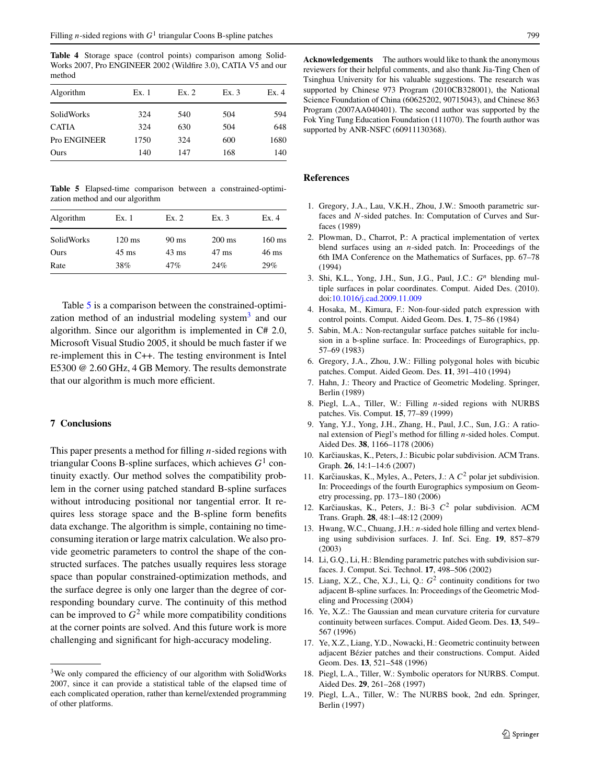<span id="page-8-0"></span>**Table 4** Storage space (control points) comparison among Solid-Works 2007, Pro ENGINEER 2002 (Wildfire 3.0), CATIA V5 and our method

| Algorithm         | Ex. 1 | Ex.2 | Ex.3 | Ex.4 |
|-------------------|-------|------|------|------|
| <b>SolidWorks</b> | 324   | 540  | 504  | 594  |
| <b>CATIA</b>      | 324   | 630  | 504  | 648  |
| Pro ENGINEER      | 1750  | 324  | 600  | 1680 |
| Ours              | 140   | 147  | 168  | 140  |

**Table 5** Elapsed-time comparison between a constrained-optimization method and our algorithm

| Algorithm          | Ex. 1                               | Ex.2                               | Ex.3                                | Ex. 4                               |
|--------------------|-------------------------------------|------------------------------------|-------------------------------------|-------------------------------------|
| SolidWorks<br>Ours | $120 \text{ ms}$<br>$45 \text{ ms}$ | $90 \text{ ms}$<br>$43 \text{ ms}$ | $200 \text{ ms}$<br>$47 \text{ ms}$ | $160 \text{ ms}$<br>$46 \text{ ms}$ |
| Rate               | 38%                                 | 47%                                | 24%                                 | 29%                                 |

Table 5 is a comparison between the constrained-optimization method of an industrial modeling system<sup>3</sup> and our algorithm. Since our algorithm is implemented in C# 2.0, Microsoft Visual Studio 2005, it should be much faster if we re-implement this in C++. The testing environment is Intel E5300 @ 2.60 GHz, 4 GB Memory. The results demonstrate that our algorithm is much more efficient.

### **7 Conclusions**

This paper presents a method for filling *n*-sided regions with triangular Coons B-spline surfaces, which achieves *G*<sup>1</sup> continuity exactly. Our method solves the compatibility problem in the corner using patched standard B-spline surfaces without introducing positional nor tangential error. It requires less storage space and the B-spline form benefits data exchange. The algorithm is simple, containing no timeconsuming iteration or large matrix calculation. We also provide geometric parameters to control the shape of the constructed surfaces. The patches usually requires less storage space than popular constrained-optimization methods, and the surface degree is only one larger than the degree of corresponding boundary curve. The continuity of this method can be improved to  $G^2$  while more compatibility conditions at the corner points are solved. And this future work is more challenging and significant for high-accuracy modeling.

**Acknowledgements** The authors would like to thank the anonymous reviewers for their helpful comments, and also thank Jia-Ting Chen of Tsinghua University for his valuable suggestions. The research was supported by Chinese 973 Program (2010CB328001), the National Science Foundation of China (60625202, 90715043), and Chinese 863 Program (2007AA040401). The second author was supported by the Fok Ying Tung Education Foundation (111070). The fourth author was supported by ANR-NSFC (60911130368).

## **References**

- 1. Gregory, J.A., Lau, V.K.H., Zhou, J.W.: Smooth parametric surfaces and *N*-sided patches. In: Computation of Curves and Surfaces (1989)
- 2. Plowman, D., Charrot, P.: A practical implementation of vertex blend surfaces using an *n*-sided patch. In: Proceedings of the 6th IMA Conference on the Mathematics of Surfaces, pp. 67–78 (1994)
- 3. Shi, K.L., Yong, J.H., Sun, J.G., Paul, J.C.: *Gn* blending multiple surfaces in polar coordinates. Comput. Aided Des. (2010). doi:[10.1016/j.cad.2009.11.009](http://dx.doi.org/10.1016/j.cad.2009.11.009)
- 4. Hosaka, M., Kimura, F.: Non-four-sided patch expression with control points. Comput. Aided Geom. Des. **1**, 75–86 (1984)
- 5. Sabin, M.A.: Non-rectangular surface patches suitable for inclusion in a b-spline surface. In: Proceedings of Eurographics, pp. 57–69 (1983)
- 6. Gregory, J.A., Zhou, J.W.: Filling polygonal holes with bicubic patches. Comput. Aided Geom. Des. **11**, 391–410 (1994)
- 7. Hahn, J.: Theory and Practice of Geometric Modeling. Springer, Berlin (1989)
- 8. Piegl, L.A., Tiller, W.: Filling *n*-sided regions with NURBS patches. Vis. Comput. **15**, 77–89 (1999)
- 9. Yang, Y.J., Yong, J.H., Zhang, H., Paul, J.C., Sun, J.G.: A rational extension of Piegl's method for filling *n*-sided holes. Comput. Aided Des. **38**, 1166–1178 (2006)
- 10. Karčiauskas, K., Peters, J.: Bicubic polar subdivision. ACM Trans. Graph. **26**, 14:1–14:6 (2007)
- 11. Karčiauskas, K., Myles, A., Peters, J.: A  $C^2$  polar jet subdivision. In: Proceedings of the fourth Eurographics symposium on Geometry processing, pp. 173–180 (2006)
- 12. Karčiauskas, K., Peters, J.: Bi-3  $C^2$  polar subdivision. ACM Trans. Graph. **28**, 48:1–48:12 (2009)
- 13. Hwang, W.C., Chuang, J.H.: *n*-sided hole filling and vertex blending using subdivision surfaces. J. Inf. Sci. Eng. **19**, 857–879 (2003)
- 14. Li, G.Q., Li, H.: Blending parametric patches with subdivision surfaces. J. Comput. Sci. Technol. **17**, 498–506 (2002)
- 15. Liang, X.Z., Che, X.J., Li, Q.: *G*<sup>2</sup> continuity conditions for two adjacent B-spline surfaces. In: Proceedings of the Geometric Modeling and Processing (2004)
- 16. Ye, X.Z.: The Gaussian and mean curvature criteria for curvature continuity between surfaces. Comput. Aided Geom. Des. **13**, 549– 567 (1996)
- 17. Ye, X.Z., Liang, Y.D., Nowacki, H.: Geometric continuity between adjacent Bézier patches and their constructions. Comput. Aided Geom. Des. **13**, 521–548 (1996)
- 18. Piegl, L.A., Tiller, W.: Symbolic operators for NURBS. Comput. Aided Des. **29**, 261–268 (1997)
- 19. Piegl, L.A., Tiller, W.: The NURBS book, 2nd edn. Springer, Berlin (1997)

<sup>&</sup>lt;sup>3</sup>We only compared the efficiency of our algorithm with SolidWorks 2007, since it can provide a statistical table of the elapsed time of each complicated operation, rather than kernel/extended programming of other platforms.